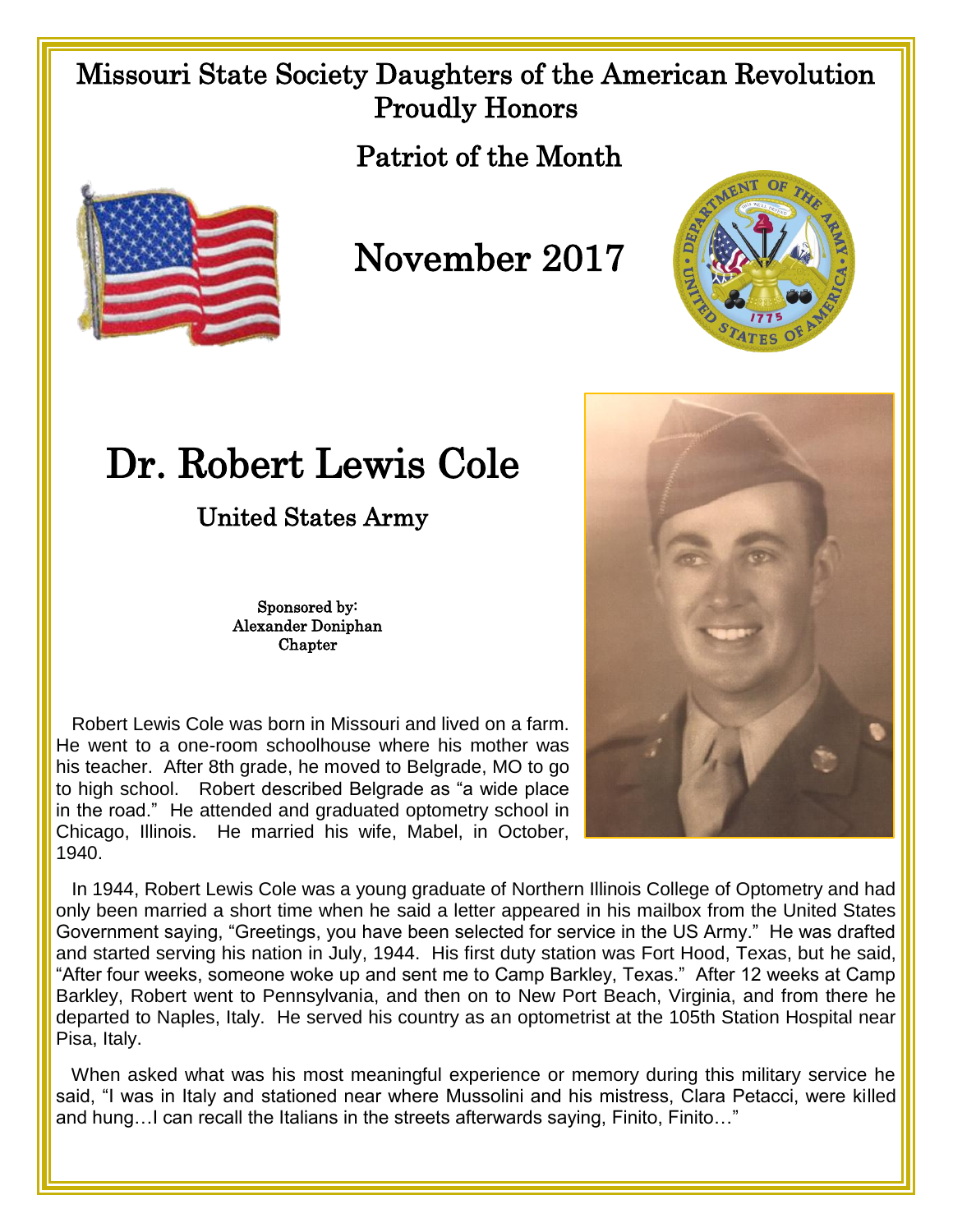## Missouri State Society Daughters of the American Revolution Proudly Honors

Patriot of the Month



## November 2017



United States Army

Sponsored by: Alexander Doniphan Chapter

 Robert Lewis Cole was born in Missouri and lived on a farm. He went to a one-room schoolhouse where his mother was his teacher. After 8th grade, he moved to Belgrade, MO to go to high school. Robert described Belgrade as "a wide place in the road." He attended and graduated optometry school in Chicago, Illinois. He married his wife, Mabel, in October, 1940.





 In 1944, Robert Lewis Cole was a young graduate of Northern Illinois College of Optometry and had only been married a short time when he said a letter appeared in his mailbox from the United States Government saying, "Greetings, you have been selected for service in the US Army." He was drafted and started serving his nation in July, 1944. His first duty station was Fort Hood, Texas, but he said, "After four weeks, someone woke up and sent me to Camp Barkley, Texas." After 12 weeks at Camp Barkley, Robert went to Pennsylvania, and then on to New Port Beach, Virginia, and from there he departed to Naples, Italy. He served his country as an optometrist at the 105th Station Hospital near Pisa, Italy.

 When asked what was his most meaningful experience or memory during this military service he said, "I was in Italy and stationed near where Mussolini and his mistress, Clara Petacci, were killed and hung…I can recall the Italians in the streets afterwards saying, Finito, Finito…"